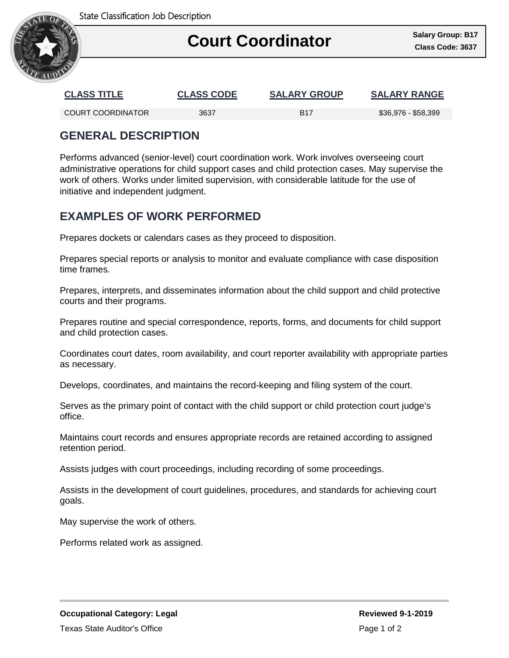

## Ι **Court Coordinator Court** Coordinator

| <b>CLASS TITLE</b> | <b>CLASS CODE</b> | <b>SALARY GROUP</b> | <b>SALARY RANGE</b> |
|--------------------|-------------------|---------------------|---------------------|
| COURT COORDINATOR  | 3637              | <b>B17</b>          | \$36,976 - \$58,399 |

## **GENERAL DESCRIPTION**

Performs advanced (senior-level) court coordination work. Work involves overseeing court administrative operations for child support cases and child protection cases. May supervise the work of others. Works under limited supervision, with considerable latitude for the use of initiative and independent judgment.

## **EXAMPLES OF WORK PERFORMED**

Prepares dockets or calendars cases as they proceed to disposition.

Prepares special reports or analysis to monitor and evaluate compliance with case disposition time frames.

Prepares, interprets, and disseminates information about the child support and child protective courts and their programs.

Prepares routine and special correspondence, reports, forms, and documents for child support and child protection cases.

Coordinates court dates, room availability, and court reporter availability with appropriate parties as necessary.

Develops, coordinates, and maintains the record-keeping and filing system of the court.

Serves as the primary point of contact with the child support or child protection court judge's office.

Maintains court records and ensures appropriate records are retained according to assigned retention period.

Assists judges with court proceedings, including recording of some proceedings.

Assists in the development of court guidelines, procedures, and standards for achieving court goals.

May supervise the work of others.

Performs related work as assigned.